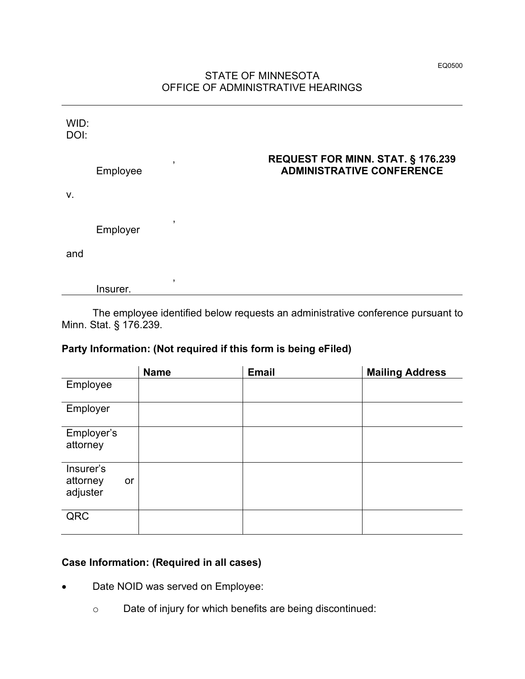## STATE OF MINNESOTA OFFICE OF ADMINISTRATIVE HEARINGS

| WID:<br>DOI: |          |              |                                                                              |
|--------------|----------|--------------|------------------------------------------------------------------------------|
|              | Employee | ,            | <b>REQUEST FOR MINN. STAT. § 176.239</b><br><b>ADMINISTRATIVE CONFERENCE</b> |
| V.           |          |              |                                                                              |
|              | Employer | $\mathbf{I}$ |                                                                              |
| and          |          |              |                                                                              |
|              | Insurer. | ,            |                                                                              |

The employee identified below requests an administrative conference pursuant to Minn. Stat. § 176.239.

## **Party Information: (Not required if this form is being eFiled)**

|                                         | <b>Name</b> | <b>Email</b> | <b>Mailing Address</b> |
|-----------------------------------------|-------------|--------------|------------------------|
| Employee                                |             |              |                        |
| Employer                                |             |              |                        |
| Employer's<br>attorney                  |             |              |                        |
| Insurer's<br>attorney<br>or<br>adjuster |             |              |                        |
| QRC                                     |             |              |                        |

## **Case Information: (Required in all cases)**

- Date NOID was served on Employee:
	- o Date of injury for which benefits are being discontinued: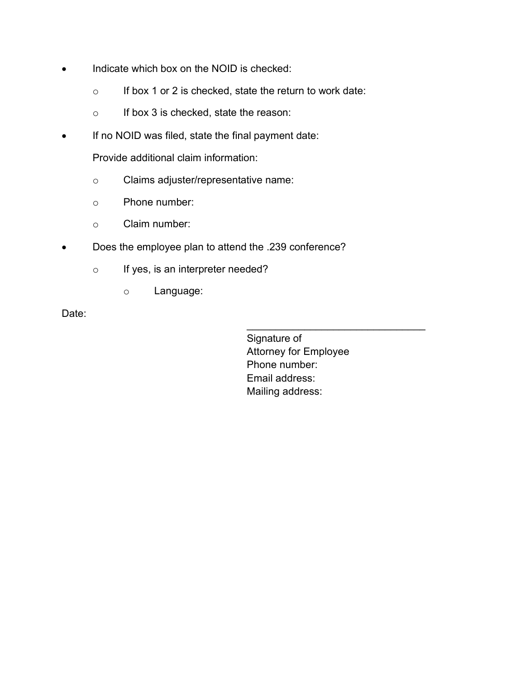- Indicate which box on the NOID is checked:
	- $\circ$  If box 1 or 2 is checked, state the return to work date:
	- o If box 3 is checked, state the reason:
- If no NOID was filed, state the final payment date:

Provide additional claim information:

- o Claims adjuster/representative name:
- o Phone number:
- o Claim number:
- Does the employee plan to attend the .239 conference?
	- o If yes, is an interpreter needed?
		- o Language:

Date:

Signature of Attorney for Employee Phone number: Email address: Mailing address:

\_\_\_\_\_\_\_\_\_\_\_\_\_\_\_\_\_\_\_\_\_\_\_\_\_\_\_\_\_\_\_